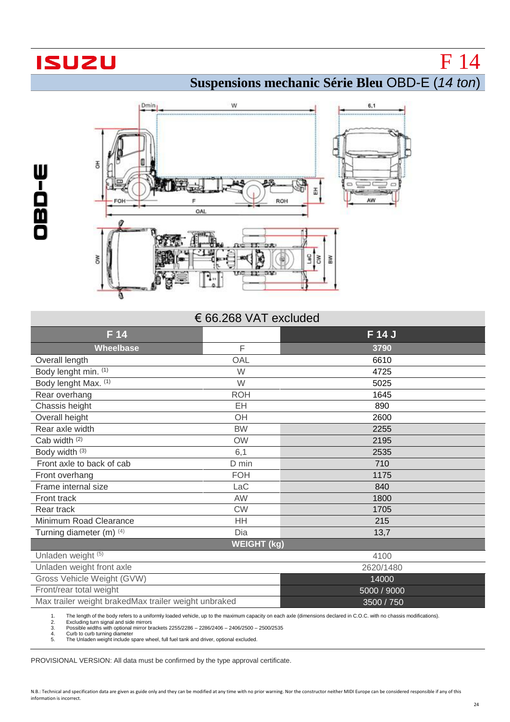## **ISUZU**

OBD

 $\mathbf{I}$ W

F 14

**Suspensions mechanic Série Bleu** OBD-E (*14 ton*)



## € 66.268 VAT excluded

| F 14                                                 |            | F 14 J      |  |  |
|------------------------------------------------------|------------|-------------|--|--|
| <b>Wheelbase</b>                                     | F          | 3790        |  |  |
| Overall length                                       | OAL        | 6610        |  |  |
| Body lenght min. (1)                                 | W          | 4725        |  |  |
| Body lenght Max. (1)                                 | W          | 5025        |  |  |
| Rear overhang                                        | <b>ROH</b> | 1645        |  |  |
| Chassis height                                       | EH         | 890         |  |  |
| Overall height                                       | OH         | 2600        |  |  |
| Rear axle width                                      | <b>BW</b>  | 2255        |  |  |
| Cab width (2)                                        | <b>OW</b>  | 2195        |  |  |
| Body width (3)                                       | 6,1        | 2535        |  |  |
| Front axle to back of cab                            | D min      | 710         |  |  |
| Front overhang                                       | <b>FOH</b> | 1175        |  |  |
| Frame internal size                                  | LaC        | 840         |  |  |
| Front track                                          | AW         | 1800        |  |  |
| Rear track                                           | <b>CW</b>  | 1705        |  |  |
| Minimum Road Clearance                               | HH         | 215         |  |  |
| Turning diameter (m) (4)                             | Dia        | 13,7        |  |  |
| <b>WEIGHT (kg)</b>                                   |            |             |  |  |
| Unladen weight (5)                                   |            | 4100        |  |  |
| Unladen weight front axle                            |            | 2620/1480   |  |  |
| Gross Vehicle Weight (GVW)                           |            | 14000       |  |  |
| Front/rear total weight                              |            | 5000 / 9000 |  |  |
| Max trailer weight brakedMax trailer weight unbraked |            | 3500 / 750  |  |  |

1. The length of the body refers to a uniformly loaded vehicle, up to the maximum capacity on each axle (dimensions declared in C.O.C. with no chassis modifications).<br>
2. Excluding turn signal and side mirror brackets 2255

2. Excluding turn signal and side mirrors 3. Possible widths with optional mirror brackets 2255/2286 – 2286/2406 – 2406/2500 – 2500/2535 Curb to curb turning diameter

The Unladen weight include spare wheel, full fuel tank and driver, optional excluded.

PROVISIONAL VERSION: All data must be confirmed by the type approval certificate.